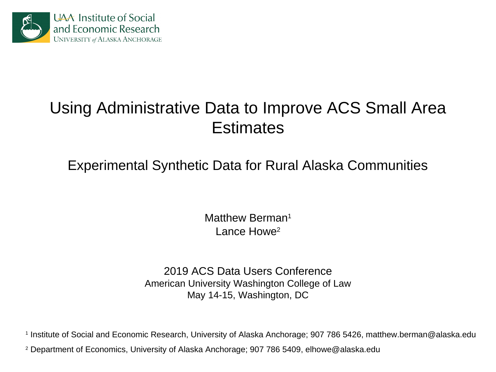

## Using Administrative Data to Improve ACS Small Area **Estimates**

Experimental Synthetic Data for Rural Alaska Communities

Matthew Berman<sup>1</sup> Lance Howe<sup>2</sup>

2019 ACS Data Users Conference American University Washington College of Law May 14-15, Washington, DC

1 Institute of Social and Economic Research, University of Alaska Anchorage; 907 786 5426, matthew.berman@alaska.edu

2 Department of Economics, University of Alaska Anchorage; 907 786 5409, elhowe@alaska.edu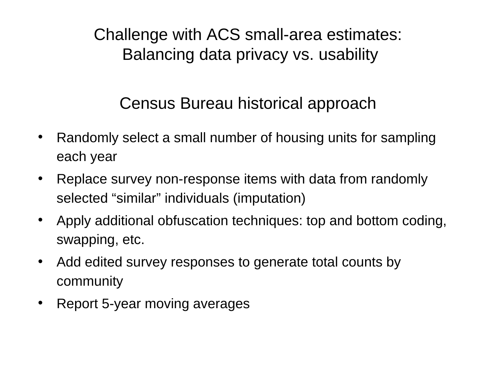Challenge with ACS small-area estimates: Balancing data privacy vs. usability

## Census Bureau historical approach

- Randomly select a small number of housing units for sampling each year
- Replace survey non-response items with data from randomly selected "similar" individuals (imputation)
- Apply additional obfuscation techniques: top and bottom coding, swapping, etc.
- Add edited survey responses to generate total counts by community
- Report 5-year moving averages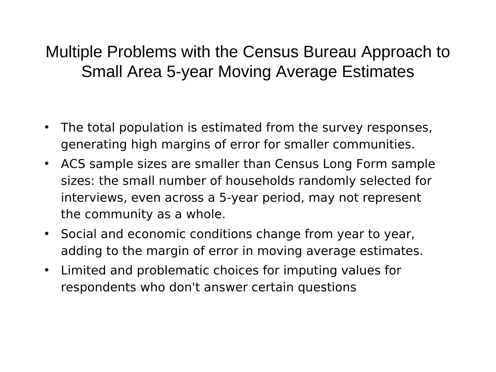## Multiple Problems with the Census Bureau Approach to Small Area 5-year Moving Average Estimates

- The total population is estimated from the survey responses, generating high margins of error for smaller communities.
- ACS sample sizes are smaller than Census Long Form sample sizes: the small number of households randomly selected for interviews, even across a 5-year period, may not represent the community as a whole.
- Social and economic conditions change from year to year, adding to the margin of error in moving average estimates.
- Limited and problematic choices for imputing values for respondents who don't answer certain questions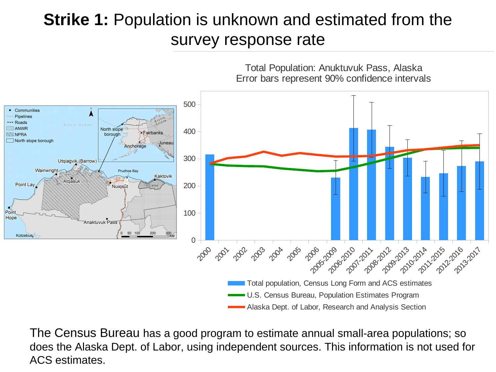## **Strike 1:** Population is unknown and estimated from the survey response rate



The Census Bureau has a good program to estimate annual small-area populations; so does the Alaska Dept. of Labor, using independent sources. This information is not used for ACS estimates.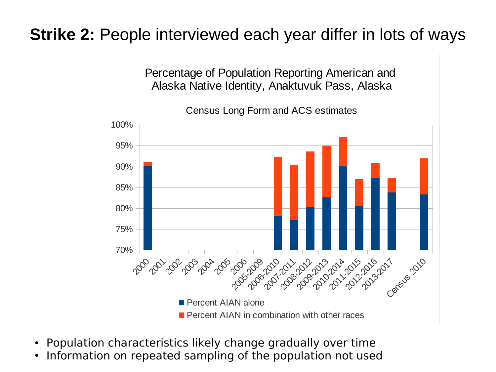## **Strike 2:** People interviewed each year differ in lots of ways



- Population characteristics likely change gradually over time
- Information on repeated sampling of the population not used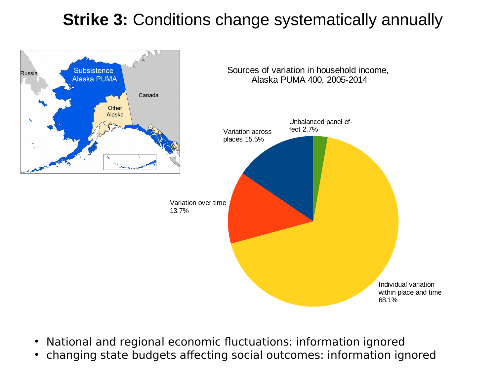## **Strike 3:** Conditions change systematically annually



- National and regional economic fluctuations: information ignored
- changing state budgets affecting social outcomes: information ignored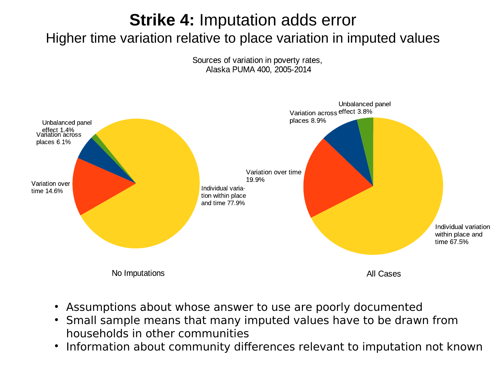#### **Strike 4:** Imputation adds error Higher time variation relative to place variation in imputed values

Sources of variation in poverty rates, Alaska PUMA 400, 2005-2014



- Assumptions about whose answer to use are poorly documented
- Small sample means that many imputed values have to be drawn from households in other communities
- $\bullet$ Information about community differences relevant to imputation not known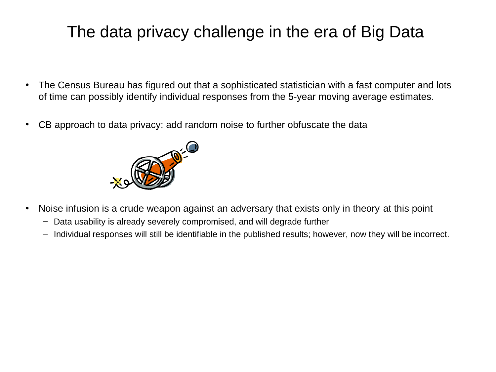## The data privacy challenge in the era of Big Data

- The Census Bureau has figured out that a sophisticated statistician with a fast computer and lots of time can possibly identify individual responses from the 5-year moving average estimates.
- CB approach to data privacy: add random noise to further obfuscate the data



- Noise infusion is a crude weapon against an adversary that exists only in theory at this point
	- Data usability is already severely compromised, and will degrade further
	- Individual responses will still be identifiable in the published results; however, now they will be incorrect.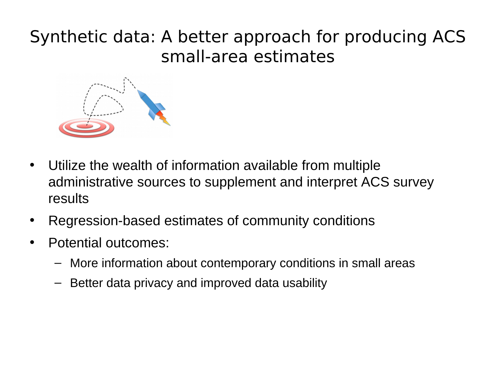## Synthetic data: A better approach for producing ACS small-area estimates



- Utilize the wealth of information available from multiple administrative sources to supplement and interpret ACS survey results
- Regression-based estimates of community conditions
- Potential outcomes:
	- More information about contemporary conditions in small areas
	- Better data privacy and improved data usability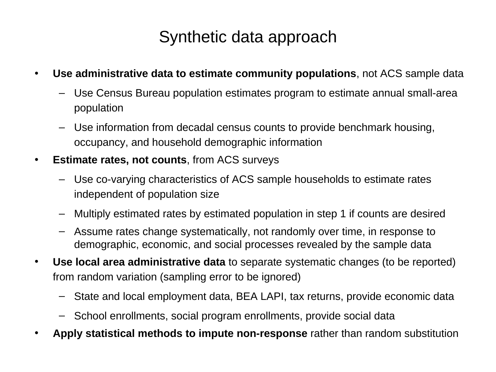## Synthetic data approach

- **Use administrative data to estimate community populations**, not ACS sample data
	- Use Census Bureau population estimates program to estimate annual small-area population
	- Use information from decadal census counts to provide benchmark housing, occupancy, and household demographic information
- **Estimate rates, not counts**, from ACS surveys
	- Use co-varying characteristics of ACS sample households to estimate rates independent of population size
	- Multiply estimated rates by estimated population in step 1 if counts are desired
	- Assume rates change systematically, not randomly over time, in response to demographic, economic, and social processes revealed by the sample data
- **Use local area administrative data** to separate systematic changes (to be reported) from random variation (sampling error to be ignored)
	- State and local employment data, BEA LAPI, tax returns, provide economic data
	- School enrollments, social program enrollments, provide social data
- **Apply statistical methods to impute non-response** rather than random substitution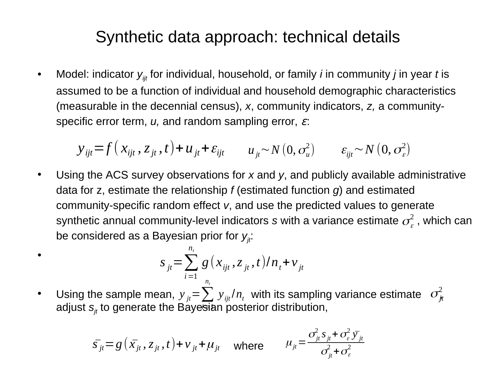#### Synthetic data approach: technical details

• Model: indicator  $y_{ijt}$  for individual, household, or family *i* in community *j* in year *t* is assumed to be a function of individual and household demographic characteristics (measurable in the decennial census), *x*, community indicators, *z,* a communityspecific error term, *u,* and random sampling error, ɛ:

$$
y_{ijt} = f(x_{ijt}, z_{jt}, t) + u_{jt} + \varepsilon_{ijt} \qquad u_{jt} \sim N(0, \sigma_u^2) \qquad \varepsilon_{ijt} \sim N(0, \sigma_e^2)
$$

• Using the ACS survey observations for *x* and *y*, and publicly available administrative data for z, estimate the relationship *f* (estimated function *g*) and estimated community-specific random effect *v*, and use the predicted values to generate synthetic annual community-level indicators  $s$  with a variance estimate  $\sigma^2_{\varepsilon}$  , which can  $\sigma^2_{\varepsilon}$ be considered as a Bayesian prior for  $y_{ji}$ : 2

$$
S_{jt} = \sum_{i=1}^{n_t} g(x_{ijt}, z_{jt}, t)/n_t + v_{jt}
$$

•

• Using the sample mean,  ${y}_{jt} {=} \sum_{}^{}{y}_{ijt} / n_{_t}\,$  with its sampling variance estimate  $\,\,\sigma^2_{jt}$ adjust *sjt* to generate the Bayesian posterior distribution, *i*=1  $y_{jt} = \sum_j y_{ijt}/n_t$  with its sampling variance estimate  $\sigma_{jt}^2$ 

$$
\bar{s}_{jt} = g\left(\bar{x}_{jt}, z_{jt}, t\right) + v_{jt} + \mu_{jt} \quad \text{where} \quad \mu_{jt} = \frac{\sigma_{jt}^2 s_{jt} + \sigma_{\varepsilon}^2 \bar{y}_{jt}}{\sigma_{jt}^2 + \sigma_{\varepsilon}^2}
$$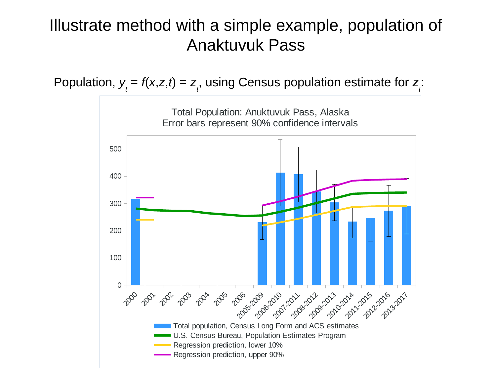## Illustrate method with a simple example, population of Anaktuvuk Pass

Population,  $y_t = f(x,z,t) = z_t$ , using Census population estimate for  $z_t$ :

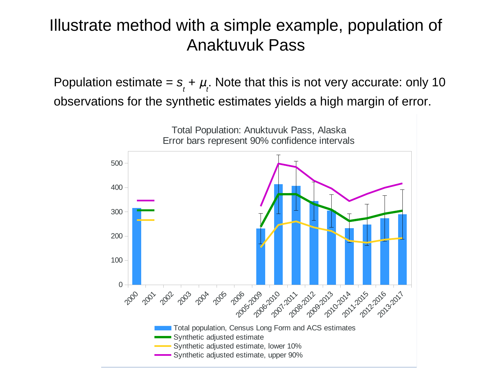## Illustrate method with a simple example, population of Anaktuvuk Pass

Population estimate =  $s_t + \mu_t$ . Note that this is not very accurate: only 10 observations for the synthetic estimates yields a high margin of error.

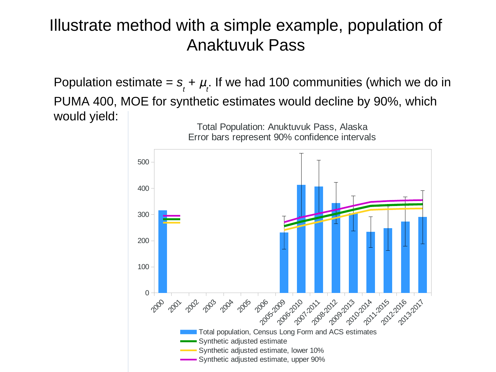## Illustrate method with a simple example, population of Anaktuvuk Pass

Population estimate =  $s_t + \mu_t$ . If we had 100 communities (which we do in PUMA 400, MOE for synthetic estimates would decline by 90%, which would yield:

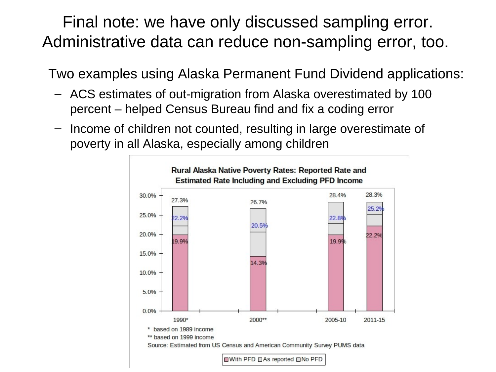Final note: we have only discussed sampling error. Administrative data can reduce non-sampling error, too.

Two examples using Alaska Permanent Fund Dividend applications:

- ACS estimates of out-migration from Alaska overestimated by 100 percent – helped Census Bureau find and fix a coding error
- Income of children not counted, resulting in large overestimate of poverty in all Alaska, especially among children